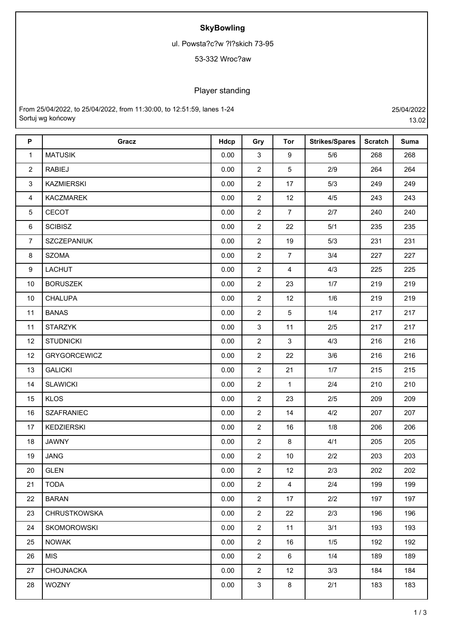## **SkyBowling**

ul. Powsta?c?w ?l?skich 73-95

## 53-332 Wroc?aw

## Player standing

From 25/04/2022, to 25/04/2022, from 11:30:00, to 12:51:59, lanes 1-24 25/04/2022 Sortuj wg końcowy 13.02

| P              | Gracz               | Hdcp | Gry            | Tor             | <b>Strikes/Spares</b> | <b>Scratch</b> | <b>Suma</b> |
|----------------|---------------------|------|----------------|-----------------|-----------------------|----------------|-------------|
| $\mathbf{1}$   | <b>MATUSIK</b>      | 0.00 | $\mathbf{3}$   | 9               | 5/6                   | 268            | 268         |
| $\overline{2}$ | <b>RABIEJ</b>       | 0.00 | $\overline{2}$ | $5\phantom{.0}$ | 2/9                   | 264            | 264         |
| 3              | <b>KAZMIERSKI</b>   | 0.00 | $\overline{2}$ | 17              | 5/3                   | 249            | 249         |
| $\overline{4}$ | <b>KACZMAREK</b>    | 0.00 | $\overline{2}$ | 12              | 4/5                   | 243            | 243         |
| 5              | CECOT               | 0.00 | $\overline{2}$ | $\overline{7}$  | 2/7                   | 240            | 240         |
| 6              | <b>SCIBISZ</b>      | 0.00 | $\overline{2}$ | 22              | 5/1                   | 235            | 235         |
| $\overline{7}$ | SZCZEPANIUK         | 0.00 | $\overline{2}$ | 19              | 5/3                   | 231            | 231         |
| 8              | <b>SZOMA</b>        | 0.00 | $\overline{2}$ | $\overline{7}$  | 3/4                   | 227            | 227         |
| 9              | LACHUT              | 0.00 | $\overline{2}$ | $\overline{4}$  | 4/3                   | 225            | 225         |
| 10             | <b>BORUSZEK</b>     | 0.00 | $\overline{2}$ | 23              | 1/7                   | 219            | 219         |
| 10             | <b>CHALUPA</b>      | 0.00 | $\overline{2}$ | 12              | 1/6                   | 219            | 219         |
| 11             | <b>BANAS</b>        | 0.00 | $\overline{2}$ | $5\phantom{.0}$ | 1/4                   | 217            | 217         |
| 11             | <b>STARZYK</b>      | 0.00 | $\mathbf{3}$   | 11              | 2/5                   | 217            | 217         |
| 12             | <b>STUDNICKI</b>    | 0.00 | $\overline{2}$ | $\mathbf{3}$    | 4/3                   | 216            | 216         |
| 12             | <b>GRYGORCEWICZ</b> | 0.00 | $\overline{2}$ | 22              | 3/6                   | 216            | 216         |
| 13             | <b>GALICKI</b>      | 0.00 | $\overline{2}$ | 21              | 1/7                   | 215            | 215         |
| 14             | <b>SLAWICKI</b>     | 0.00 | $\overline{2}$ | $\mathbf{1}$    | 2/4                   | 210            | 210         |
| 15             | <b>KLOS</b>         | 0.00 | $\overline{2}$ | 23              | 2/5                   | 209            | 209         |
| 16             | <b>SZAFRANIEC</b>   | 0.00 | $\overline{2}$ | 14              | 4/2                   | 207            | 207         |
| 17             | KEDZIERSKI          | 0.00 | $\overline{2}$ | 16              | 1/8                   | 206            | 206         |
| 18             | <b>JAWNY</b>        | 0.00 | $\overline{2}$ | 8               | 4/1                   | 205            | 205         |
| 19             | <b>JANG</b>         | 0.00 | $\overline{2}$ | 10              | 2/2                   | 203            | 203         |
| 20             | <b>GLEN</b>         | 0.00 | $\overline{2}$ | 12              | 2/3                   | 202            | 202         |
| 21             | <b>TODA</b>         | 0.00 | $\overline{2}$ | $\overline{4}$  | 2/4                   | 199            | 199         |
| 22             | <b>BARAN</b>        | 0.00 | $\overline{2}$ | 17              | $2/2$                 | 197            | 197         |
| 23             | <b>CHRUSTKOWSKA</b> | 0.00 | $\overline{2}$ | 22              | 2/3                   | 196            | 196         |
| 24             | <b>SKOMOROWSKI</b>  | 0.00 | $\overline{2}$ | 11              | 3/1                   | 193            | 193         |
| 25             | <b>NOWAK</b>        | 0.00 | $\overline{2}$ | 16              | 1/5                   | 192            | 192         |
| 26             | <b>MIS</b>          | 0.00 | $\overline{2}$ | 6               | 1/4                   | 189            | 189         |
| 27             | CHOJNACKA           | 0.00 | $\overline{2}$ | 12              | 3/3                   | 184            | 184         |
| 28             | <b>WOZNY</b>        | 0.00 | $\mathbf{3}$   | 8               | 2/1                   | 183            | 183         |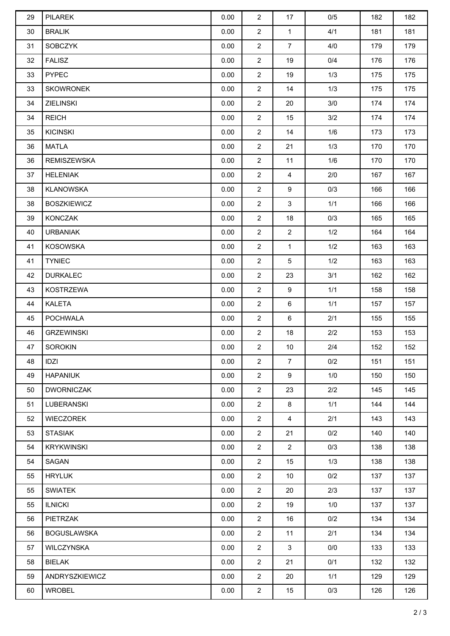| 29 | <b>PILAREK</b>     | 0.00 | 2              | 17              | 0/5 | 182 | 182 |
|----|--------------------|------|----------------|-----------------|-----|-----|-----|
| 30 | <b>BRALIK</b>      | 0.00 | $\overline{2}$ | $\mathbf{1}$    | 4/1 | 181 | 181 |
| 31 | <b>SOBCZYK</b>     | 0.00 | $\overline{2}$ | $\overline{7}$  | 4/0 | 179 | 179 |
| 32 | <b>FALISZ</b>      | 0.00 | $\overline{2}$ | 19              | 0/4 | 176 | 176 |
| 33 | <b>PYPEC</b>       | 0.00 | $\overline{2}$ | 19              | 1/3 | 175 | 175 |
| 33 | <b>SKOWRONEK</b>   | 0.00 | $\overline{2}$ | 14              | 1/3 | 175 | 175 |
| 34 | <b>ZIELINSKI</b>   | 0.00 | $\overline{2}$ | 20              | 3/0 | 174 | 174 |
| 34 | <b>REICH</b>       | 0.00 | $\overline{2}$ | 15              | 3/2 | 174 | 174 |
| 35 | <b>KICINSKI</b>    | 0.00 | $\overline{2}$ | 14              | 1/6 | 173 | 173 |
| 36 | <b>MATLA</b>       | 0.00 | $\overline{2}$ | 21              | 1/3 | 170 | 170 |
| 36 | <b>REMISZEWSKA</b> | 0.00 | $\overline{2}$ | 11              | 1/6 | 170 | 170 |
| 37 | <b>HELENIAK</b>    | 0.00 | $\overline{2}$ | $\overline{4}$  | 2/0 | 167 | 167 |
| 38 | KLANOWSKA          | 0.00 | $\overline{2}$ | $9\,$           | 0/3 | 166 | 166 |
| 38 | <b>BOSZKIEWICZ</b> | 0.00 | $\overline{2}$ | 3               | 1/1 | 166 | 166 |
| 39 | <b>KONCZAK</b>     | 0.00 | $\overline{2}$ | 18              | 0/3 | 165 | 165 |
| 40 | <b>URBANIAK</b>    | 0.00 | $\overline{2}$ | $\overline{2}$  | 1/2 | 164 | 164 |
| 41 | <b>KOSOWSKA</b>    | 0.00 | $\overline{2}$ | $\mathbf{1}$    | 1/2 | 163 | 163 |
| 41 | <b>TYNIEC</b>      | 0.00 | $\overline{2}$ | $5\phantom{.0}$ | 1/2 | 163 | 163 |
| 42 | <b>DURKALEC</b>    | 0.00 | $\overline{2}$ | 23              | 3/1 | 162 | 162 |
| 43 | <b>KOSTRZEWA</b>   | 0.00 | $\overline{2}$ | $9\,$           | 1/1 | 158 | 158 |
| 44 | KALETA             | 0.00 | $\overline{2}$ | 6               | 1/1 | 157 | 157 |
| 45 | <b>POCHWALA</b>    | 0.00 | $\overline{2}$ | 6               | 2/1 | 155 | 155 |
| 46 | <b>GRZEWINSKI</b>  | 0.00 | $\overline{c}$ | $18$            | 2/2 | 153 | 153 |
| 47 | SOROKIN            | 0.00 | $\overline{c}$ | 10              | 2/4 | 152 | 152 |
| 48 | IDZI               | 0.00 | $\overline{2}$ | $7\overline{ }$ | 0/2 | 151 | 151 |
| 49 | <b>HAPANIUK</b>    | 0.00 | $\overline{2}$ | 9               | 1/0 | 150 | 150 |
| 50 | <b>DWORNICZAK</b>  | 0.00 | $\overline{2}$ | 23              | 2/2 | 145 | 145 |
| 51 | LUBERANSKI         | 0.00 | $\overline{2}$ | 8               | 1/1 | 144 | 144 |
| 52 | <b>WIECZOREK</b>   | 0.00 | $\overline{2}$ | $\overline{4}$  | 2/1 | 143 | 143 |
| 53 | <b>STASIAK</b>     | 0.00 | $\overline{2}$ | 21              | 0/2 | 140 | 140 |
| 54 | <b>KRYKWINSKI</b>  | 0.00 | $\overline{2}$ | $2^{\circ}$     | 0/3 | 138 | 138 |
| 54 | SAGAN              | 0.00 | $\overline{2}$ | 15              | 1/3 | 138 | 138 |
| 55 | <b>HRYLUK</b>      | 0.00 | $\overline{2}$ | 10              | 0/2 | 137 | 137 |
| 55 | <b>SWIATEK</b>     | 0.00 | $\overline{2}$ | 20              | 2/3 | 137 | 137 |
| 55 | <b>ILNICKI</b>     | 0.00 | $\overline{2}$ | 19              | 1/0 | 137 | 137 |
| 56 | <b>PIETRZAK</b>    | 0.00 | $\overline{2}$ | 16              | 0/2 | 134 | 134 |
| 56 | <b>BOGUSLAWSKA</b> | 0.00 | $\overline{2}$ | 11              | 2/1 | 134 | 134 |
| 57 | WILCZYNSKA         | 0.00 | $\overline{2}$ | $\mathbf{3}$    | 0/0 | 133 | 133 |
| 58 | <b>BIELAK</b>      | 0.00 | $\overline{2}$ | 21              | 0/1 | 132 | 132 |
| 59 | ANDRYSZKIEWICZ     | 0.00 | $\overline{2}$ | 20              | 1/1 | 129 | 129 |
| 60 | <b>WROBEL</b>      | 0.00 | $\overline{2}$ | 15              | 0/3 | 126 | 126 |